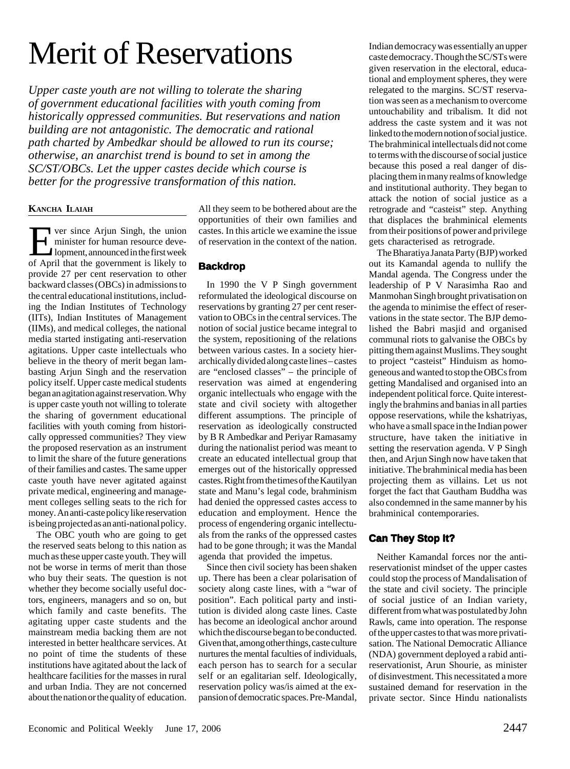# Merit of Reservations

*Upper caste youth are not willing to tolerate the sharing of government educational facilities with youth coming from historically oppressed communities. But reservations and nation building are not antagonistic. The democratic and rational path charted by Ambedkar should be allowed to run its course; otherwise, an anarchist trend is bound to set in among the SC/ST/OBCs. Let the upper castes decide which course is better for the progressive transformation of this nation.*

### **KANCHA ILAIAH**

**EVERT SINGLE ARGUME SINGLE STATE SINGLE STATE SINGLE STATE SINGLE STATE SINGLE STATE SINGLE STATE SINGLE STATE SINGLE STATE SINGLE STATE SINGLE STATE SINGLE STATE SINGLE STATE SINGLE STATE SINGLE STATE SINGLE STATE SINGLE** minister for human resource deveof April that the government is likely to provide 27 per cent reservation to other backward classes (OBCs) in admissions to the central educational institutions, including the Indian Institutes of Technology (IITs), Indian Institutes of Management (IIMs), and medical colleges, the national media started instigating anti-reservation agitations. Upper caste intellectuals who believe in the theory of merit began lambasting Arjun Singh and the reservation policy itself. Upper caste medical students began an agitation against reservation. Why is upper caste youth not willing to tolerate the sharing of government educational facilities with youth coming from historically oppressed communities? They view the proposed reservation as an instrument to limit the share of the future generations of their families and castes. The same upper caste youth have never agitated against private medical, engineering and management colleges selling seats to the rich for money. An anti-caste policy like reservation is being projected as an anti-national policy.

The OBC youth who are going to get the reserved seats belong to this nation as much as these upper caste youth. They will not be worse in terms of merit than those who buy their seats. The question is not whether they become socially useful doctors, engineers, managers and so on, but which family and caste benefits. The agitating upper caste students and the mainstream media backing them are not interested in better healthcare services. At no point of time the students of these institutions have agitated about the lack of healthcare facilities for the masses in rural and urban India. They are not concerned about the nation or the quality of education.

All they seem to be bothered about are the opportunities of their own families and castes. In this article we examine the issue of reservation in the context of the nation.

## **Backdrop**

In 1990 the V P Singh government reformulated the ideological discourse on reservations by granting 27 per cent reservation to OBCs in the central services. The notion of social justice became integral to the system, repositioning of the relations between various castes. In a society hierarchically divided along caste lines – castes are "enclosed classes" – the principle of reservation was aimed at engendering organic intellectuals who engage with the state and civil society with altogether different assumptions. The principle of reservation as ideologically constructed by B R Ambedkar and Periyar Ramasamy during the nationalist period was meant to create an educated intellectual group that emerges out of the historically oppressed castes. Right from the times of the Kautilyan state and Manu's legal code, brahminism had denied the oppressed castes access to education and employment. Hence the process of engendering organic intellectuals from the ranks of the oppressed castes had to be gone through; it was the Mandal agenda that provided the impetus.

Since then civil society has been shaken up. There has been a clear polarisation of society along caste lines, with a "war of position". Each political party and institution is divided along caste lines. Caste has become an ideological anchor around which the discourse began to be conducted. Given that, among other things, caste culture nurtures the mental faculties of individuals, each person has to search for a secular self or an egalitarian self. Ideologically, reservation policy was/is aimed at the expansion of democratic spaces. Pre-Mandal,

Indian democracy was essentially an upper caste democracy. Though the SC/STs were given reservation in the electoral, educational and employment spheres, they were relegated to the margins. SC/ST reservation was seen as a mechanism to overcome untouchability and tribalism. It did not address the caste system and it was not linked to the modern notion of social justice. The brahminical intellectuals did not come to terms with the discourse of social justice because this posed a real danger of displacing them in many realms of knowledge and institutional authority. They began to attack the notion of social justice as a retrograde and "casteist" step. Anything that displaces the brahminical elements from their positions of power and privilege gets characterised as retrograde.

The Bharatiya Janata Party (BJP) worked out its Kamandal agenda to nullify the Mandal agenda. The Congress under the leadership of P V Narasimha Rao and Manmohan Singh brought privatisation on the agenda to minimise the effect of reservations in the state sector. The BJP demolished the Babri masjid and organised communal riots to galvanise the OBCs by pitting them against Muslims. They sought to project "casteist" Hinduism as homogeneous and wanted to stop the OBCs from getting Mandalised and organised into an independent political force. Quite interestingly the brahmins and banias in all parties oppose reservations, while the kshatriyas, who have a small space in the Indian power structure, have taken the initiative in setting the reservation agenda. V P Singh then, and Arjun Singh now have taken that initiative. The brahminical media has been projecting them as villains. Let us not forget the fact that Gautham Buddha was also condemned in the same manner by his brahminical contemporaries.

## **Can They Stop It?**

Neither Kamandal forces nor the antireservationist mindset of the upper castes could stop the process of Mandalisation of the state and civil society. The principle of social justice of an Indian variety, different from what was postulated by John Rawls, came into operation. The response of the upper castes to that was more privatisation. The National Democratic Alliance (NDA) government deployed a rabid antireservationist, Arun Shourie, as minister of disinvestment. This necessitated a more sustained demand for reservation in the private sector. Since Hindu nationalists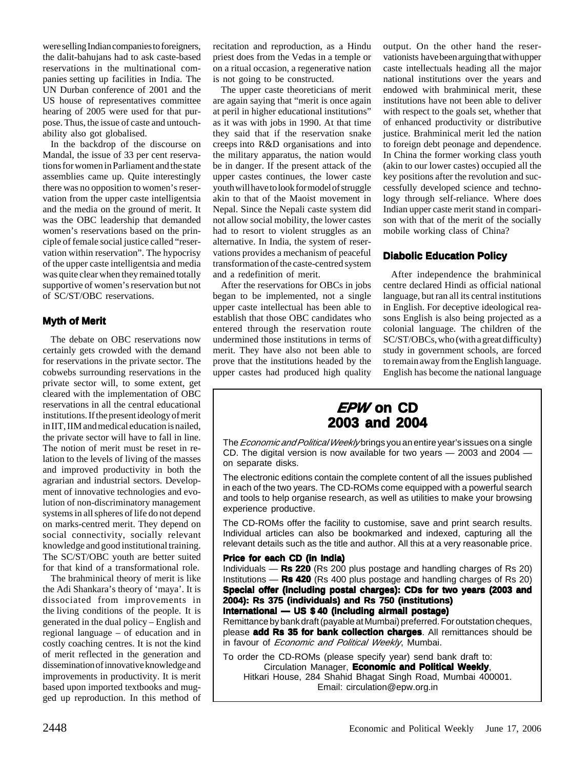were selling Indian companies to foreigners, the dalit-bahujans had to ask caste-based reservations in the multinational companies setting up facilities in India. The UN Durban conference of 2001 and the US house of representatives committee hearing of 2005 were used for that purpose. Thus, the issue of caste and untouchability also got globalised.

In the backdrop of the discourse on Mandal, the issue of 33 per cent reservations for women in Parliament and the state assemblies came up. Quite interestingly there was no opposition to women's reservation from the upper caste intelligentsia and the media on the ground of merit. It was the OBC leadership that demanded women's reservations based on the principle of female social justice called "reservation within reservation". The hypocrisy of the upper caste intelligentsia and media was quite clear when they remained totally supportive of women's reservation but not of SC/ST/OBC reservations.

## **Myth of Merit**

The debate on OBC reservations now certainly gets crowded with the demand for reservations in the private sector. The cobwebs surrounding reservations in the private sector will, to some extent, get cleared with the implementation of OBC reservations in all the central educational institutions. If the present ideology of merit in IIT, IIM and medical education is nailed, the private sector will have to fall in line. The notion of merit must be reset in relation to the levels of living of the masses and improved productivity in both the agrarian and industrial sectors. Development of innovative technologies and evolution of non-discriminatory management systems in all spheres of life do not depend on marks-centred merit. They depend on social connectivity, socially relevant knowledge and good institutional training. The SC/ST/OBC youth are better suited for that kind of a transformational role.

The brahminical theory of merit is like the Adi Shankara's theory of 'maya'. It is dissociated from improvements in the living conditions of the people. It is generated in the dual policy – English and regional language – of education and in costly coaching centres. It is not the kind of merit reflected in the generation and dissemination of innovative knowledge and improvements in productivity. It is merit based upon imported textbooks and mugged up reproduction. In this method of recitation and reproduction, as a Hindu priest does from the Vedas in a temple or on a ritual occasion, a regenerative nation is not going to be constructed.

The upper caste theoreticians of merit are again saying that "merit is once again at peril in higher educational institutions" as it was with jobs in 1990. At that time they said that if the reservation snake creeps into R&D organisations and into the military apparatus, the nation would be in danger. If the present attack of the upper castes continues, the lower caste youth will have to look for model of struggle akin to that of the Maoist movement in Nepal. Since the Nepali caste system did not allow social mobility, the lower castes had to resort to violent struggles as an alternative. In India, the system of reservations provides a mechanism of peaceful transformation of the caste-centred system and a redefinition of merit.

After the reservations for OBCs in jobs began to be implemented, not a single upper caste intellectual has been able to establish that those OBC candidates who entered through the reservation route undermined those institutions in terms of merit. They have also not been able to prove that the institutions headed by the upper castes had produced high quality output. On the other hand the reservationists have been arguing that with upper caste intellectuals heading all the major national institutions over the years and endowed with brahminical merit, these institutions have not been able to deliver with respect to the goals set, whether that of enhanced productivity or distributive justice. Brahminical merit led the nation to foreign debt peonage and dependence. In China the former working class youth (akin to our lower castes) occupied all the key positions after the revolution and successfully developed science and technology through self-reliance. Where does Indian upper caste merit stand in comparison with that of the merit of the socially mobile working class of China?

## **Diabolic Education Policy**

After independence the brahminical centre declared Hindi as official national language, but ran all its central institutions in English. For deceptive ideological reasons English is also being projected as a colonial language. The children of the SC/ST/OBCs, who (with a great difficulty) study in government schools, are forced to remain away from the English language. English has become the national language



The *Economic and Political Weekly* brings you an entire year's issues on a single CD. The digital version is now available for two years — 2003 and 2004 on separate disks.

The electronic editions contain the complete content of all the issues published in each of the two years. The CD-ROMs come equipped with a powerful search and tools to help organise research, as well as utilities to make your browsing experience productive.

The CD-ROMs offer the facility to customise, save and print search results. Individual articles can also be bookmarked and indexed, capturing all the relevant details such as the title and author. All this at a very reasonable price.

#### **Price for each CD (in India)**

Individuals — **Rs 220** (Rs 200 plus postage and handling charges of Rs 20) Institutions — **Rs 420** (Rs 400 plus postage and handling charges of Rs 20) **Special offer (including postal charges): CDs for two years (2003 and 2004): Rs 375 (individuals) and Rs 750 (institutions) International — US \$ 40 (including airmail postage)**

Remittance by bank draft (payable at Mumbai) preferred. For outstation cheques, please **add Rs 35 for bank collection charges**. All remittances should be in favour of *Economic and Political Weekly*, Mumbai.

To order the CD-ROMs (please specify year) send bank draft to: Circulation Manager, **Economic and Political Weekly**, Hitkari House, 284 Shahid Bhagat Singh Road, Mumbai 400001. Email: circulation@epw.org.in